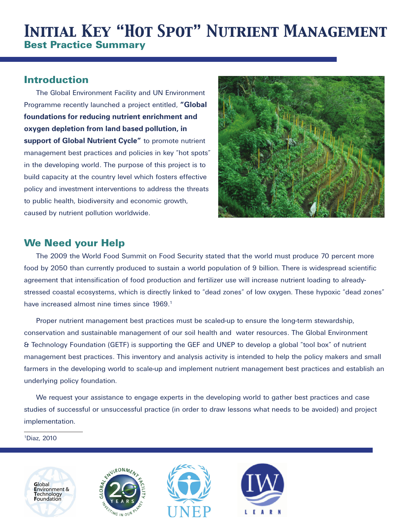# *Initial Key "Hot Spot" Nutrient Management*  Best Practice Summary

## Introduction

The Global Environment Facility and UN Environment Programme recently launched a project entitled, **"Global foundations for reducing nutrient enrichment and oxygen depletion from land based pollution, in support of Global Nutrient Cycle"** to promote nutrient management best practices and policies in key "hot spots" in the developing world. The purpose of this project is to build capacity at the country level which fosters effective policy and investment interventions to address the threats to public health, biodiversity and economic growth, caused by nutrient pollution worldwide.



# We Need your Help

The 2009 the World Food Summit on Food Security stated that the world must produce 70 percent more food by 2050 than currently produced to sustain a world population of 9 billion. There is widespread scientific agreement that intensification of food production and fertilizer use will increase nutrient loading to alreadystressed coastal ecosystems, which is directly linked to "dead zones" of low oxygen. These hypoxic "dead zones" have increased almost nine times since 1969.<sup>1</sup>

Proper nutrient management best practices must be scaled-up to ensure the long-term stewardship, conservation and sustainable management of our soil health and water resources. The Global Environment & Technology Foundation (GETF) is supporting the GEF and UNEP to develop a global "tool box" of nutrient management best practices. This inventory and analysis activity is intended to help the policy makers and small farmers in the developing world to scale-up and implement nutrient management best practices and establish an underlying policy foundation.

We request your assistance to engage experts in the developing world to gather best practices and case studies of successful or unsuccessful practice (in order to draw lessons what needs to be avoided) and project implementation.

1Diaz, 2010







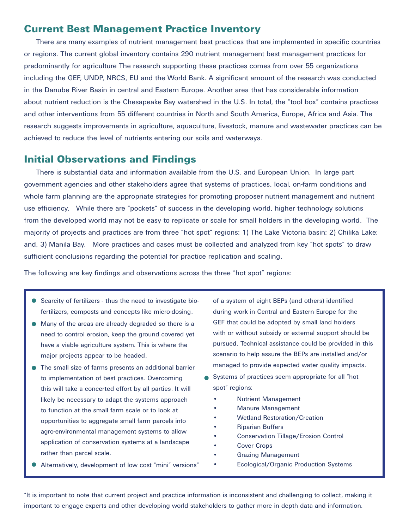### Current Best Management Practice Inventory

There are many examples of nutrient management best practices that are implemented in specific countries or regions. The current global inventory contains 290 nutrient management best management practices for predominantly for agriculture The research supporting these practices comes from over 55 organizations including the GEF, UNDP, NRCS, EU and the World Bank. A significant amount of the research was conducted in the Danube River Basin in central and Eastern Europe. Another area that has considerable information about nutrient reduction is the Chesapeake Bay watershed in the U.S. In total, the "tool box" contains practices and other interventions from 55 different countries in North and South America, Europe, Africa and Asia. The research suggests improvements in agriculture, aquaculture, livestock, manure and wastewater practices can be achieved to reduce the level of nutrients entering our soils and waterways.

### Initial Observations and Findings

There is substantial data and information available from the U.S. and European Union. In large part government agencies and other stakeholders agree that systems of practices, local, on-farm conditions and whole farm planning are the appropriate strategies for promoting proposer nutrient management and nutrient use efficiency. While there are "pockets" of success in the developing world, higher technology solutions from the developed world may not be easy to replicate or scale for small holders in the developing world. The majority of projects and practices are from three "hot spot" regions: 1) The Lake Victoria basin; 2) Chilika Lake; and, 3) Manila Bay. More practices and cases must be collected and analyzed from key "hot spots" to draw sufficient conclusions regarding the potential for practice replication and scaling.

The following are key findings and observations across the three "hot spot" regions:

- Scarcity of fertilizers thus the need to investigate biofertilizers, composts and concepts like micro-dosing.
- Many of the areas are already degraded so there is a need to control erosion, keep the ground covered yet have a viable agriculture system. This is where the major projects appear to be headed.
- The small size of farms presents an additional barrier to implementation of best practices. Overcoming this will take a concerted effort by all parties. It will likely be necessary to adapt the systems approach to function at the small farm scale or to look at opportunities to aggregate small farm parcels into agro-environmental management systems to allow application of conservation systems at a landscape rather than parcel scale.
- Alternatively, development of low cost "mini" versions"

of a system of eight BEPs (and others) identified during work in Central and Eastern Europe for the GEF that could be adopted by small land holders with or without subsidy or external support should be pursued. Technical assistance could be provided in this scenario to help assure the BEPs are installed and/or managed to provide expected water quality impacts.

- Systems of practices seem appropriate for all "hot spot" regions:
	- **Nutrient Management**
	- **Manure Management**
	- **Wetland Restoration/Creation**
	- **Riparian Buffers**
	- Conservation Tillage/Erosion Control
	- **Cover Crops**
	- **Grazing Management**
	- • Ecological/Organic Production Systems

\*It is important to note that current project and practice information is inconsistent and challenging to collect, making it important to engage experts and other developing world stakeholders to gather more in depth data and information.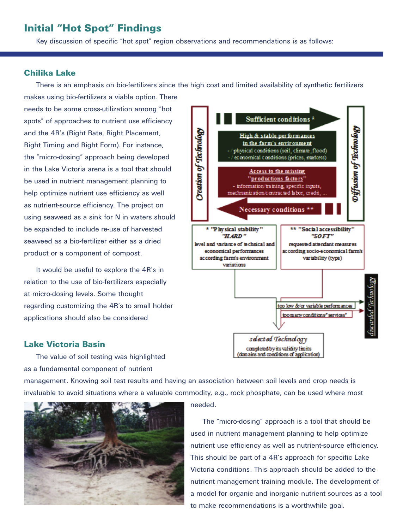## Initial "Hot Spot" Findings

Key discussion of specific "hot spot" region observations and recommendations is as follows:

#### Chilika Lake

There is an emphasis on bio-fertilizers since the high cost and limited availability of synthetic fertilizers

makes using bio-fertilizers a viable option. There needs to be some cross-utilization among "hot spots" of approaches to nutrient use efficiency and the 4R's (Right Rate, Right Placement, Right Timing and Right Form). For instance, the "micro-dosing" approach being developed in the Lake Victoria arena is a tool that should be used in nutrient management planning to help optimize nutrient use efficiency as well as nutrient-source efficiency. The project on using seaweed as a sink for N in waters should be expanded to include re-use of harvested seaweed as a bio-fertilizer either as a dried product or a component of compost.

It would be useful to explore the 4R's in relation to the use of bio-fertilizers especially at micro-dosing levels. Some thought regarding customizing the 4R's to small holder applications should also be considered

### Lake Victoria Basin

The value of soil testing was highlighted as a fundamental component of nutrient

management. Knowing soil test results and having an association between soil levels and crop needs is invaluable to avoid situations where a valuable commodity, e.g., rock phosphate, can be used where most

> The "micro-dosing" approach is a tool that should be used in nutrient management planning to help optimize nutrient use efficiency as well as nutrient-source efficiency. This should be part of a 4R's approach for specific Lake Victoria conditions. This approach should be added to the nutrient management training module. The development of a model for organic and inorganic nutrient sources as a tool to make recommendations is a worthwhile goal.